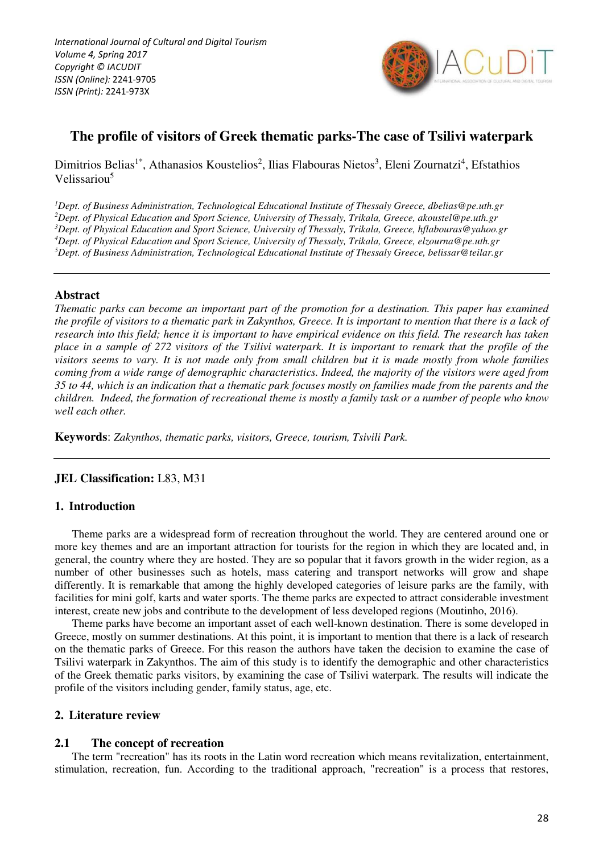

# **The profile of visitors of Greek thematic parks-The case of Tsilivi waterpark**

# Dimitrios Belias<sup>1\*</sup>, Athanasios Koustelios<sup>2</sup>, Ilias Flabouras Nietos<sup>3</sup>, Eleni Zournatzi<sup>4</sup>, Efstathios Velissariou<sup>5</sup>

*Dept. of Business Administration, Technological Educational Institute of Thessaly Greece, dbelias@pe.uth.gr Dept. of Physical Education and Sport Science, University of Thessaly, Trikala, Greece, akoustel@pe.uth.gr Dept. of Physical Education and Sport Science, University of Thessaly, Trikala, Greece, hflabouras@yahoo.gr Dept. of Physical Education and Sport Science, University of Thessaly, Trikala, Greece, elzourna@pe.uth.gr Dept. of Business Administration, Technological Educational Institute of Thessaly Greece, belissar@teilar.gr* 

# **Abstract**

*Thematic parks can become an important part of the promotion for a destination. This paper has examined the profile of visitors to a thematic park in Zakynthos, Greece. It is important to mention that there is a lack of research into this field; hence it is important to have empirical evidence on this field. The research has taken place in a sample of 272 visitors of the Tsilivi waterpark. It is important to remark that the profile of the visitors seems to vary. It is not made only from small children but it is made mostly from whole families coming from a wide range of demographic characteristics. Indeed, the majority of the visitors were aged from 35 to 44, which is an indication that a thematic park focuses mostly on families made from the parents and the children. Indeed, the formation of recreational theme is mostly a family task or a number of people who know well each other.* 

**Keywords**: *Zakynthos, thematic parks, visitors, Greece, tourism, Tsivili Park.* 

# **JEL Classification:** L83, M31

### **1. Introduction**

Theme parks are a widespread form of recreation throughout the world. They are centered around one or more key themes and are an important attraction for tourists for the region in which they are located and, in general, the country where they are hosted. They are so popular that it favors growth in the wider region, as a number of other businesses such as hotels, mass catering and transport networks will grow and shape differently. It is remarkable that among the highly developed categories of leisure parks are the family, with facilities for mini golf, karts and water sports. The theme parks are expected to attract considerable investment interest, create new jobs and contribute to the development of less developed regions (Moutinho, 2016).

Theme parks have become an important asset of each well-known destination. There is some developed in Greece, mostly on summer destinations. At this point, it is important to mention that there is a lack of research on the thematic parks of Greece. For this reason the authors have taken the decision to examine the case of Tsilivi waterpark in Zakynthos. The aim of this study is to identify the demographic and other characteristics of the Greek thematic parks visitors, by examining the case of Tsilivi waterpark. The results will indicate the profile of the visitors including gender, family status, age, etc.

### **2. Literature review**

### **2.1 The concept of recreation**

The term "recreation" has its roots in the Latin word recreation which means revitalization, entertainment, stimulation, recreation, fun. According to the traditional approach, "recreation" is a process that restores,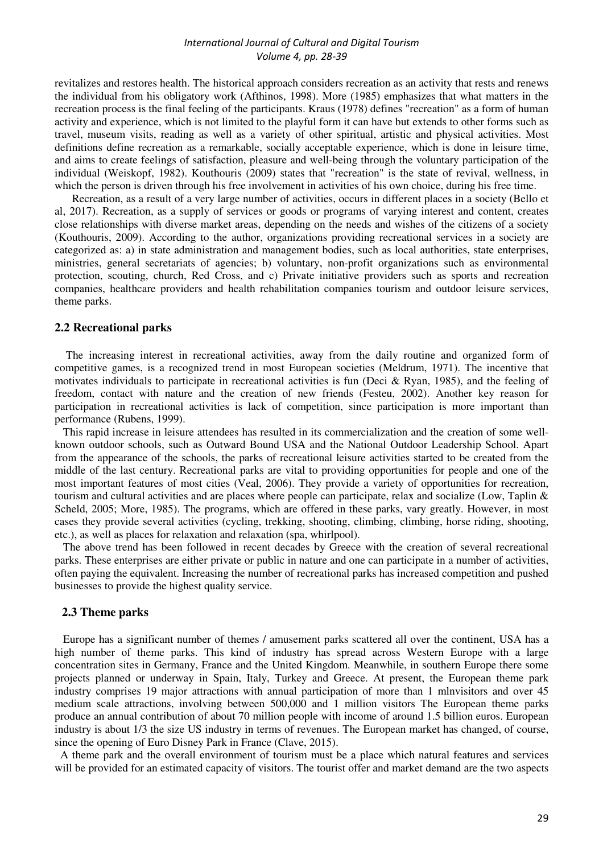revitalizes and restores health. The historical approach considers recreation as an activity that rests and renews the individual from his obligatory work (Afthinos, 1998). More (1985) emphasizes that what matters in the recreation process is the final feeling of the participants. Kraus (1978) defines "recreation" as a form of human activity and experience, which is not limited to the playful form it can have but extends to other forms such as travel, museum visits, reading as well as a variety of other spiritual, artistic and physical activities. Most definitions define recreation as a remarkable, socially acceptable experience, which is done in leisure time, and aims to create feelings of satisfaction, pleasure and well-being through the voluntary participation of the individual (Weiskopf, 1982). Kouthouris (2009) states that "recreation" is the state of revival, wellness, in which the person is driven through his free involvement in activities of his own choice, during his free time.

Recreation, as a result of a very large number of activities, occurs in different places in a society (Bello et al, 2017). Recreation, as a supply of services or goods or programs of varying interest and content, creates close relationships with diverse market areas, depending on the needs and wishes of the citizens of a society (Kouthouris, 2009). According to the author, organizations providing recreational services in a society are categorized as: a) in state administration and management bodies, such as local authorities, state enterprises, ministries, general secretariats of agencies; b) voluntary, non-profit organizations such as environmental protection, scouting, church, Red Cross, and c) Private initiative providers such as sports and recreation companies, healthcare providers and health rehabilitation companies tourism and outdoor leisure services, theme parks.

#### **2.2 Recreational parks**

 The increasing interest in recreational activities, away from the daily routine and organized form of competitive games, is a recognized trend in most European societies (Meldrum, 1971). The incentive that motivates individuals to participate in recreational activities is fun (Deci & Ryan, 1985), and the feeling of freedom, contact with nature and the creation of new friends (Festeu, 2002). Another key reason for participation in recreational activities is lack of competition, since participation is more important than performance (Rubens, 1999).

 This rapid increase in leisure attendees has resulted in its commercialization and the creation of some wellknown outdoor schools, such as Outward Bound USA and the National Outdoor Leadership School. Apart from the appearance of the schools, the parks of recreational leisure activities started to be created from the middle of the last century. Recreational parks are vital to providing opportunities for people and one of the most important features of most cities (Veal, 2006). They provide a variety of opportunities for recreation, tourism and cultural activities and are places where people can participate, relax and socialize (Low, Taplin & Scheld, 2005; More, 1985). The programs, which are offered in these parks, vary greatly. However, in most cases they provide several activities (cycling, trekking, shooting, climbing, climbing, horse riding, shooting, etc.), as well as places for relaxation and relaxation (spa, whirlpool).

 The above trend has been followed in recent decades by Greece with the creation of several recreational parks. These enterprises are either private or public in nature and one can participate in a number of activities, often paying the equivalent. Increasing the number of recreational parks has increased competition and pushed businesses to provide the highest quality service.

#### **2.3 Theme parks**

 Europe has a significant number of themes / amusement parks scattered all over the continent, USA has a high number of theme parks. This kind of industry has spread across Western Europe with a large concentration sites in Germany, France and the United Kingdom. Meanwhile, in southern Europe there some projects planned or underway in Spain, Italy, Turkey and Greece. At present, the European theme park industry comprises 19 major attractions with annual participation of more than 1 mlnvisitors and over 45 medium scale attractions, involving between 500,000 and 1 million visitors The European theme parks produce an annual contribution of about 70 million people with income of around 1.5 billion euros. European industry is about 1/3 the size US industry in terms of revenues. The European market has changed, of course, since the opening of Euro Disney Park in France (Clave, 2015).

 A theme park and the overall environment of tourism must be a place which natural features and services will be provided for an estimated capacity of visitors. The tourist offer and market demand are the two aspects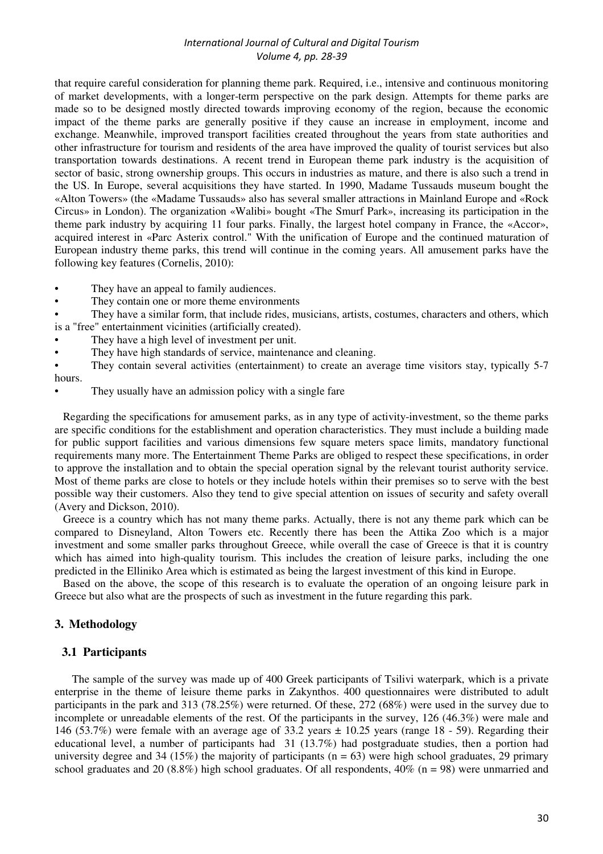that require careful consideration for planning theme park. Required, i.e., intensive and continuous monitoring of market developments, with a longer-term perspective on the park design. Attempts for theme parks are made so to be designed mostly directed towards improving economy of the region, because the economic impact of the theme parks are generally positive if they cause an increase in employment, income and exchange. Meanwhile, improved transport facilities created throughout the years from state authorities and other infrastructure for tourism and residents of the area have improved the quality of tourist services but also transportation towards destinations. A recent trend in European theme park industry is the acquisition of sector of basic, strong ownership groups. This occurs in industries as mature, and there is also such a trend in the US. In Europe, several acquisitions they have started. In 1990, Madame Tussauds museum bought the «Alton Towers» (the «Madame Tussauds» also has several smaller attractions in Mainland Europe and «Rock Circus» in London). The organization «Walibi» bought «The Smurf Park», increasing its participation in the theme park industry by acquiring 11 four parks. Finally, the largest hotel company in France, the «Accor», acquired interest in «Parc Asterix control." With the unification of Europe and the continued maturation of European industry theme parks, this trend will continue in the coming years. All amusement parks have the following key features (Cornelis, 2010):

- They have an appeal to family audiences.
- They contain one or more theme environments
- They have a similar form, that include rides, musicians, artists, costumes, characters and others, which is a "free" entertainment vicinities (artificially created).
- They have a high level of investment per unit.
- They have high standards of service, maintenance and cleaning.
- They contain several activities (entertainment) to create an average time visitors stay, typically 5-7 hours.
- They usually have an admission policy with a single fare

 Regarding the specifications for amusement parks, as in any type of activity-investment, so the theme parks are specific conditions for the establishment and operation characteristics. They must include a building made for public support facilities and various dimensions few square meters space limits, mandatory functional requirements many more. The Entertainment Theme Parks are obliged to respect these specifications, in order to approve the installation and to obtain the special operation signal by the relevant tourist authority service. Most of theme parks are close to hotels or they include hotels within their premises so to serve with the best possible way their customers. Also they tend to give special attention on issues of security and safety overall (Avery and Dickson, 2010).

 Greece is a country which has not many theme parks. Actually, there is not any theme park which can be compared to Disneyland, Alton Towers etc. Recently there has been the Attika Zoo which is a major investment and some smaller parks throughout Greece, while overall the case of Greece is that it is country which has aimed into high-quality tourism. This includes the creation of leisure parks, including the one predicted in the Elliniko Area which is estimated as being the largest investment of this kind in Europe.

 Based on the above, the scope of this research is to evaluate the operation of an ongoing leisure park in Greece but also what are the prospects of such as investment in the future regarding this park.

### **3. Methodology**

#### **3.1 Participants**

The sample of the survey was made up of 400 Greek participants of Tsilivi waterpark, which is a private enterprise in the theme of leisure theme parks in Zakynthos. 400 questionnaires were distributed to adult participants in the park and 313 (78.25%) were returned. Of these, 272 (68%) were used in the survey due to incomplete or unreadable elements of the rest. Of the participants in the survey, 126 (46.3%) were male and 146 (53.7%) were female with an average age of 33.2 years  $\pm$  10.25 years (range 18 - 59). Regarding their educational level, a number of participants had 31 (13.7%) had postgraduate studies, then a portion had university degree and 34 (15%) the majority of participants ( $n = 63$ ) were high school graduates, 29 primary school graduates and 20 (8.8%) high school graduates. Of all respondents,  $40\%$  (n = 98) were unmarried and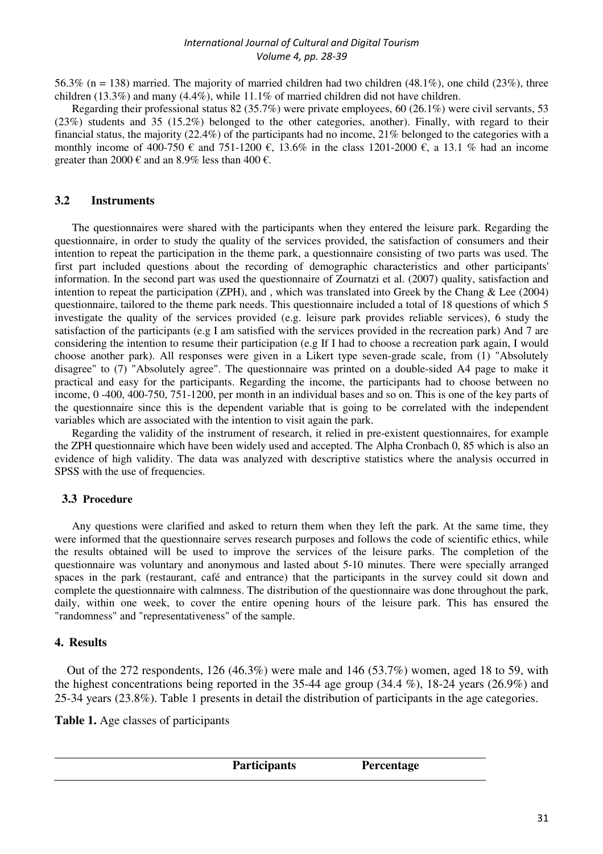56.3% (n = 138) married. The majority of married children had two children (48.1%), one child (23%), three children (13.3%) and many (4.4%), while 11.1% of married children did not have children.

Regarding their professional status 82 (35.7%) were private employees, 60 (26.1%) were civil servants, 53 (23%) students and 35 (15.2%) belonged to the other categories, another). Finally, with regard to their financial status, the majority (22.4%) of the participants had no income, 21% belonged to the categories with a monthly income of 400-750 € and 751-1200 €, 13.6% in the class 1201-2000 €, a 13.1 % had an income greater than 2000 € and an 8.9% less than 400 €.

# **3.2 Instruments**

The questionnaires were shared with the participants when they entered the leisure park. Regarding the questionnaire, in order to study the quality of the services provided, the satisfaction of consumers and their intention to repeat the participation in the theme park, a questionnaire consisting of two parts was used. The first part included questions about the recording of demographic characteristics and other participants' information. In the second part was used the questionnaire of Zournatzi et al. (2007) quality, satisfaction and intention to repeat the participation (ZPH), and , which was translated into Greek by the Chang & Lee (2004) questionnaire, tailored to the theme park needs. This questionnaire included a total of 18 questions of which 5 investigate the quality of the services provided (e.g. leisure park provides reliable services), 6 study the satisfaction of the participants (e.g I am satisfied with the services provided in the recreation park) And 7 are considering the intention to resume their participation (e.g If I had to choose a recreation park again, I would choose another park). All responses were given in a Likert type seven-grade scale, from (1) "Absolutely disagree" to (7) "Absolutely agree". The questionnaire was printed on a double-sided A4 page to make it practical and easy for the participants. Regarding the income, the participants had to choose between no income, 0 -400, 400-750, 751-1200, per month in an individual bases and so on. This is one of the key parts of the questionnaire since this is the dependent variable that is going to be correlated with the independent variables which are associated with the intention to visit again the park.

Regarding the validity of the instrument of research, it relied in pre-existent questionnaires, for example the ZPH questionnaire which have been widely used and accepted. The Alpha Cronbach 0, 85 which is also an evidence of high validity. The data was analyzed with descriptive statistics where the analysis occurred in SPSS with the use of frequencies.

# **3.3 Procedure**

Any questions were clarified and asked to return them when they left the park. At the same time, they were informed that the questionnaire serves research purposes and follows the code of scientific ethics, while the results obtained will be used to improve the services of the leisure parks. The completion of the questionnaire was voluntary and anonymous and lasted about 5-10 minutes. There were specially arranged spaces in the park (restaurant, café and entrance) that the participants in the survey could sit down and complete the questionnaire with calmness. The distribution of the questionnaire was done throughout the park, daily, within one week, to cover the entire opening hours of the leisure park. This has ensured the "randomness" and "representativeness" of the sample.

# **4. Results**

 Out of the 272 respondents, 126 (46.3%) were male and 146 (53.7%) women, aged 18 to 59, with the highest concentrations being reported in the 35-44 age group (34.4 %), 18-24 years (26.9%) and 25-34 years (23.8%). Table 1 presents in detail the distribution of participants in the age categories.

**Table 1.** Age classes of participants

| <b>Participants</b> | Percentage |  |
|---------------------|------------|--|
|                     |            |  |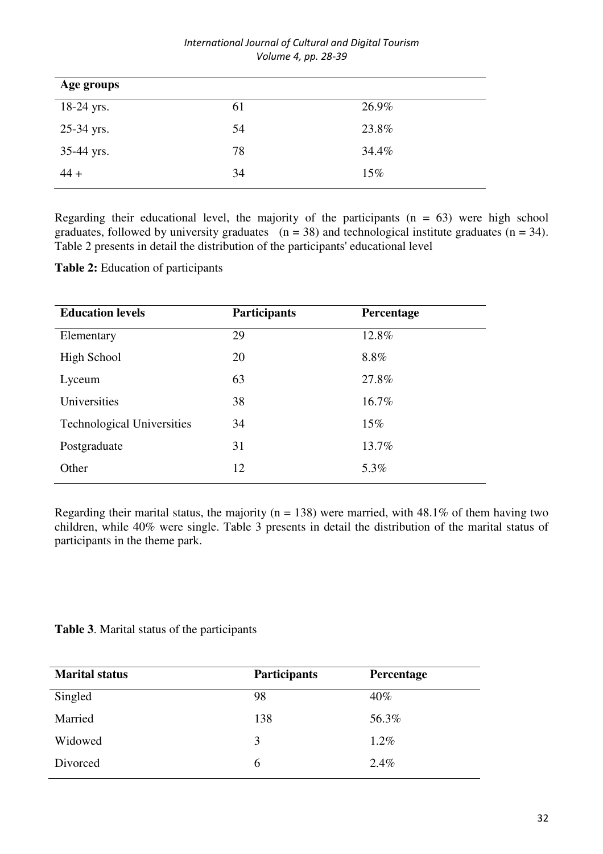| International Journal of Cultural and Digital Tourism |
|-------------------------------------------------------|
| Volume 4, pp. 28-39                                   |

| Age groups |    |       |
|------------|----|-------|
| 18-24 yrs. | 61 | 26.9% |
| 25-34 yrs. | 54 | 23.8% |
| 35-44 yrs. | 78 | 34.4% |
| $44 +$     | 34 | 15%   |

Regarding their educational level, the majority of the participants  $(n = 63)$  were high school graduates, followed by university graduates  $(n = 38)$  and technological institute graduates  $(n = 34)$ . Table 2 presents in detail the distribution of the participants' educational level

**Table 2:** Education of participants

| <b>Participants</b> | Percentage |
|---------------------|------------|
| 29                  | 12.8%      |
| 20                  | 8.8%       |
| 63                  | 27.8%      |
| 38                  | 16.7%      |
| 34                  | $15\%$     |
| 31                  | 13.7%      |
| 12                  | 5.3%       |
|                     |            |

Regarding their marital status, the majority ( $n = 138$ ) were married, with 48.1% of them having two children, while 40% were single. Table 3 presents in detail the distribution of the marital status of participants in the theme park.

**Table 3**. Marital status of the participants

| <b>Marital status</b> | <b>Participants</b> | Percentage |
|-----------------------|---------------------|------------|
| Singled               | 98                  | 40%        |
| Married               | 138                 | 56.3%      |
| Widowed               | 3                   | $1.2\%$    |
| Divorced              | 6                   | 2.4%       |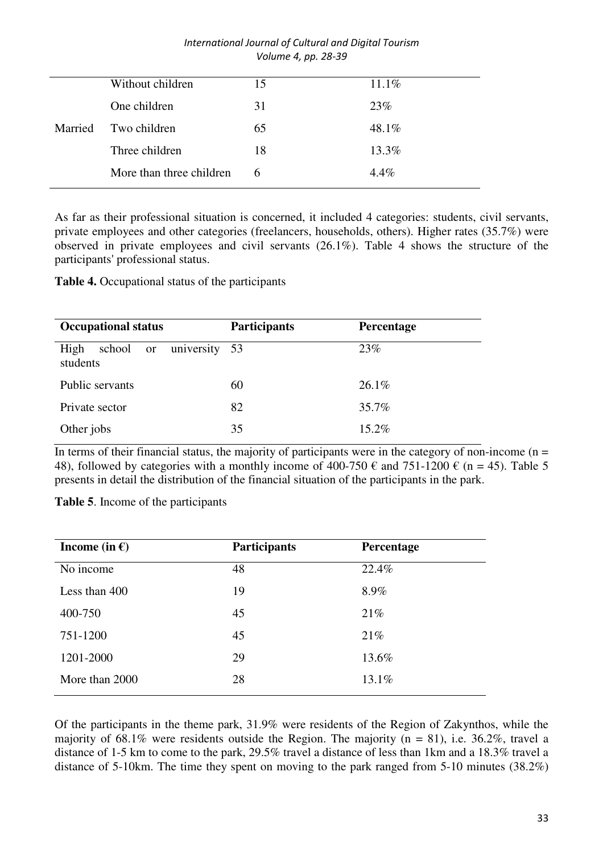|         | Without children         | 15 | $11.1\%$ |
|---------|--------------------------|----|----------|
|         | One children             | 31 | 23%      |
| Married | Two children             | 65 | 48.1%    |
|         | Three children           | 18 | 13.3%    |
|         | More than three children | 6  | $4.4\%$  |
|         |                          |    |          |

As far as their professional situation is concerned, it included 4 categories: students, civil servants, private employees and other categories (freelancers, households, others). Higher rates (35.7%) were observed in private employees and civil servants (26.1%). Table 4 shows the structure of the participants' professional status.

**Table 4.** Occupational status of the participants

| <b>Occupational status</b>                     | <b>Participants</b> | Percentage |
|------------------------------------------------|---------------------|------------|
| High<br>university 53<br>school or<br>students |                     | 23%        |
| Public servants                                | 60                  | $26.1\%$   |
| Private sector                                 | 82                  | 35.7%      |
| Other jobs                                     | 35                  | $15.2\%$   |

In terms of their financial status, the majority of participants were in the category of non-income  $(n =$ 48), followed by categories with a monthly income of 400-750  $\epsilon$  and 751-1200  $\epsilon$  (n = 45). Table 5 presents in detail the distribution of the financial situation of the participants in the park.

**Table 5**. Income of the participants

| Income (in $\epsilon$ ) | Participants | Percentage |
|-------------------------|--------------|------------|
| No income               | 48           | 22.4%      |
| Less than 400           | 19           | 8.9%       |
| 400-750                 | 45           | 21%        |
| 751-1200                | 45           | 21%        |
| 1201-2000               | 29           | 13.6%      |
| More than 2000          | 28           | 13.1%      |

Of the participants in the theme park, 31.9% were residents of the Region of Zakynthos, while the majority of 68.1% were residents outside the Region. The majority ( $n = 81$ ), i.e. 36.2%, travel a distance of 1-5 km to come to the park, 29.5% travel a distance of less than 1km and a 18.3% travel a distance of 5-10km. The time they spent on moving to the park ranged from 5-10 minutes (38.2%)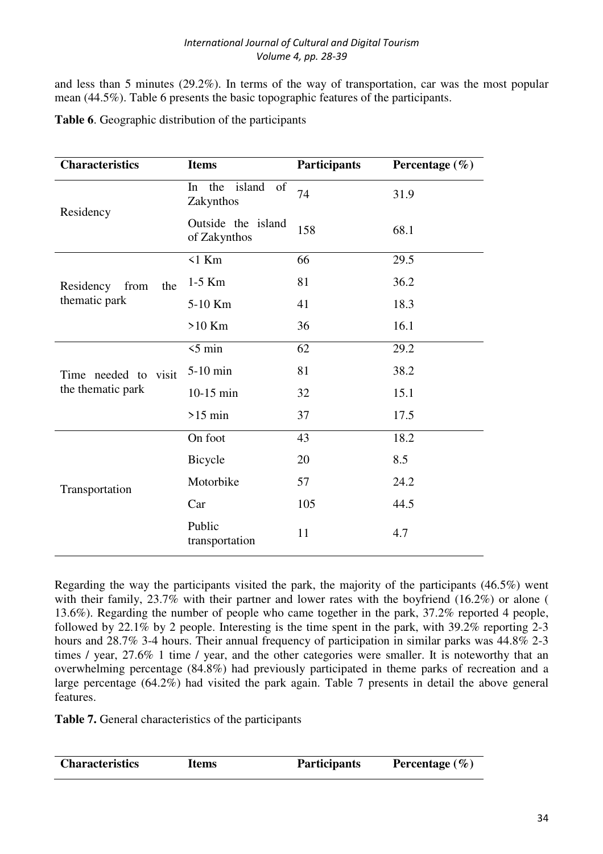and less than 5 minutes (29.2%). In terms of the way of transportation, car was the most popular mean (44.5%). Table 6 presents the basic topographic features of the participants.

| <b>Characteristics</b>   | <b>Items</b>                                      | Participants | Percentage $(\% )$ |
|--------------------------|---------------------------------------------------|--------------|--------------------|
|                          | island<br>the<br><sub>of</sub><br>In<br>Zakynthos | 74           | 31.9               |
| Residency                | Outside the island<br>of Zakynthos                | 158          | 68.1               |
|                          | $\leq 1$ Km                                       | 66           | 29.5               |
| Residency<br>from<br>the | $1-5$ Km                                          | 81           | 36.2               |
| thematic park            | 5-10 Km                                           | 41           | 18.3               |
|                          | $>10$ Km                                          | 36           | 16.1               |
|                          | $5 \text{ min}$                                   | 62           | 29.2               |
| Time needed to visit     | 5-10 min                                          | 81           | 38.2               |
| the thematic park        | $10-15$ min                                       | 32           | 15.1               |
|                          | $>15$ min                                         | 37           | 17.5               |
|                          | On foot                                           | 43           | 18.2               |
|                          | Bicycle                                           | 20           | 8.5                |
| Transportation           | Motorbike                                         | 57           | 24.2               |
|                          | Car                                               | 105          | 44.5               |
|                          | Public<br>transportation                          | 11           | 4.7                |

**Table 6**. Geographic distribution of the participants

Regarding the way the participants visited the park, the majority of the participants (46.5%) went with their family, 23.7% with their partner and lower rates with the boyfriend (16.2%) or alone ( 13.6%). Regarding the number of people who came together in the park, 37.2% reported 4 people, followed by 22.1% by 2 people. Interesting is the time spent in the park, with 39.2% reporting 2-3 hours and 28.7% 3-4 hours. Their annual frequency of participation in similar parks was 44.8% 2-3 times / year, 27.6% 1 time / year, and the other categories were smaller. It is noteworthy that an overwhelming percentage (84.8%) had previously participated in theme parks of recreation and a large percentage  $(64.2\%)$  had visited the park again. Table 7 presents in detail the above general features.

**Table 7.** General characteristics of the participants

| <b>Characteristics</b> | Items | <b>Participants</b> | Percentage $(\% )$ |
|------------------------|-------|---------------------|--------------------|
|                        |       |                     |                    |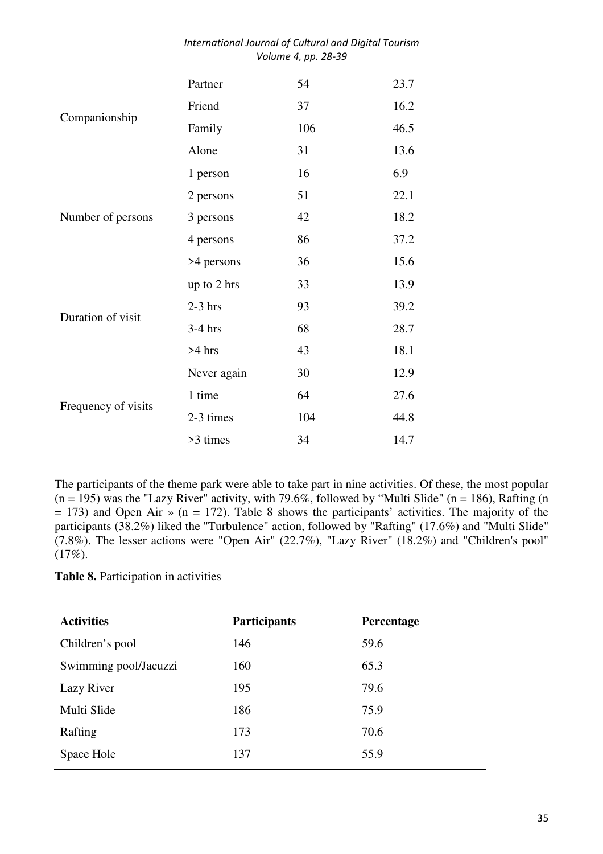|                     | Partner     | 54  | 23.7 |
|---------------------|-------------|-----|------|
|                     | Friend      | 37  | 16.2 |
| Companionship       | Family      | 106 | 46.5 |
|                     | Alone       | 31  | 13.6 |
|                     | 1 person    | 16  | 6.9  |
|                     | 2 persons   | 51  | 22.1 |
| Number of persons   | 3 persons   | 42  | 18.2 |
|                     | 4 persons   | 86  | 37.2 |
|                     | >4 persons  | 36  | 15.6 |
|                     | up to 2 hrs | 33  | 13.9 |
| Duration of visit   | $2-3$ hrs   | 93  | 39.2 |
|                     | $3-4$ hrs   | 68  | 28.7 |
|                     | $>4$ hrs    | 43  | 18.1 |
|                     | Never again | 30  | 12.9 |
|                     | 1 time      | 64  | 27.6 |
| Frequency of visits | 2-3 times   | 104 | 44.8 |
|                     | >3 times    | 34  | 14.7 |

The participants of the theme park were able to take part in nine activities. Of these, the most popular  $(n = 195)$  was the "Lazy River" activity, with 79.6%, followed by "Multi Slide"  $(n = 186)$ , Rafting  $(n = 195)$  $= 173$ ) and Open Air » (n = 172). Table 8 shows the participants' activities. The majority of the participants (38.2%) liked the "Turbulence" action, followed by "Rafting" (17.6%) and "Multi Slide"  $(7.8\%)$ . The lesser actions were "Open Air" (22.7%), "Lazy River" (18.2%) and "Children's pool"  $(17\%).$ 

# **Table 8.** Participation in activities

| Participants | Percentage |
|--------------|------------|
| 146          | 59.6       |
| 160          | 65.3       |
| 195          | 79.6       |
| 186          | 75.9       |
| 173          | 70.6       |
| 137          | 55.9       |
|              |            |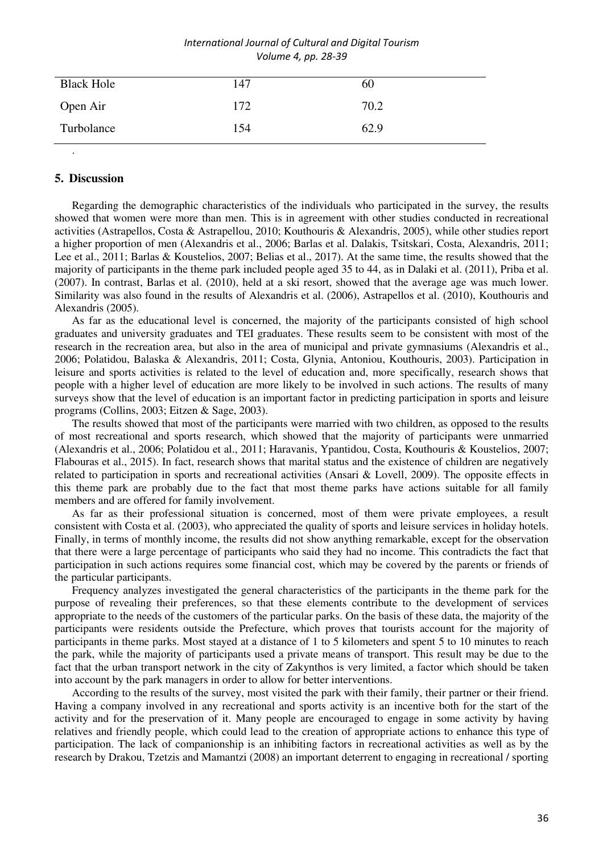| <b>Black Hole</b> | 147 | 60   |
|-------------------|-----|------|
| Open Air          | 172 | 70.2 |
| Turbolance        | 154 | 62.9 |

# **5. Discussion**

.

Regarding the demographic characteristics of the individuals who participated in the survey, the results showed that women were more than men. This is in agreement with other studies conducted in recreational activities (Astrapellos, Costa & Astrapellou, 2010; Kouthouris & Alexandris, 2005), while other studies report a higher proportion of men (Alexandris et al., 2006; Barlas et al. Dalakis, Tsitskari, Costa, Alexandris, 2011; Lee et al., 2011; Barlas & Koustelios, 2007; Belias et al., 2017). At the same time, the results showed that the majority of participants in the theme park included people aged 35 to 44, as in Dalaki et al. (2011), Priba et al. (2007). In contrast, Barlas et al. (2010), held at a ski resort, showed that the average age was much lower. Similarity was also found in the results of Alexandris et al. (2006), Astrapellos et al. (2010), Kouthouris and Alexandris (2005).

As far as the educational level is concerned, the majority of the participants consisted of high school graduates and university graduates and TEI graduates. These results seem to be consistent with most of the research in the recreation area, but also in the area of municipal and private gymnasiums (Alexandris et al., 2006; Polatidou, Balaska & Alexandris, 2011; Costa, Glynia, Antoniou, Kouthouris, 2003). Participation in leisure and sports activities is related to the level of education and, more specifically, research shows that people with a higher level of education are more likely to be involved in such actions. The results of many surveys show that the level of education is an important factor in predicting participation in sports and leisure programs (Collins, 2003; Eitzen & Sage, 2003).

The results showed that most of the participants were married with two children, as opposed to the results of most recreational and sports research, which showed that the majority of participants were unmarried (Alexandris et al., 2006; Polatidou et al., 2011; Haravanis, Ypantidou, Costa, Kouthouris & Koustelios, 2007; Flabouras et al., 2015). In fact, research shows that marital status and the existence of children are negatively related to participation in sports and recreational activities (Ansari & Lovell, 2009). The opposite effects in this theme park are probably due to the fact that most theme parks have actions suitable for all family members and are offered for family involvement.

As far as their professional situation is concerned, most of them were private employees, a result consistent with Costa et al. (2003), who appreciated the quality of sports and leisure services in holiday hotels. Finally, in terms of monthly income, the results did not show anything remarkable, except for the observation that there were a large percentage of participants who said they had no income. This contradicts the fact that participation in such actions requires some financial cost, which may be covered by the parents or friends of the particular participants.

Frequency analyzes investigated the general characteristics of the participants in the theme park for the purpose of revealing their preferences, so that these elements contribute to the development of services appropriate to the needs of the customers of the particular parks. On the basis of these data, the majority of the participants were residents outside the Prefecture, which proves that tourists account for the majority of participants in theme parks. Most stayed at a distance of 1 to 5 kilometers and spent 5 to 10 minutes to reach the park, while the majority of participants used a private means of transport. This result may be due to the fact that the urban transport network in the city of Zakynthos is very limited, a factor which should be taken into account by the park managers in order to allow for better interventions.

According to the results of the survey, most visited the park with their family, their partner or their friend. Having a company involved in any recreational and sports activity is an incentive both for the start of the activity and for the preservation of it. Many people are encouraged to engage in some activity by having relatives and friendly people, which could lead to the creation of appropriate actions to enhance this type of participation. The lack of companionship is an inhibiting factors in recreational activities as well as by the research by Drakou, Tzetzis and Mamantzi (2008) an important deterrent to engaging in recreational / sporting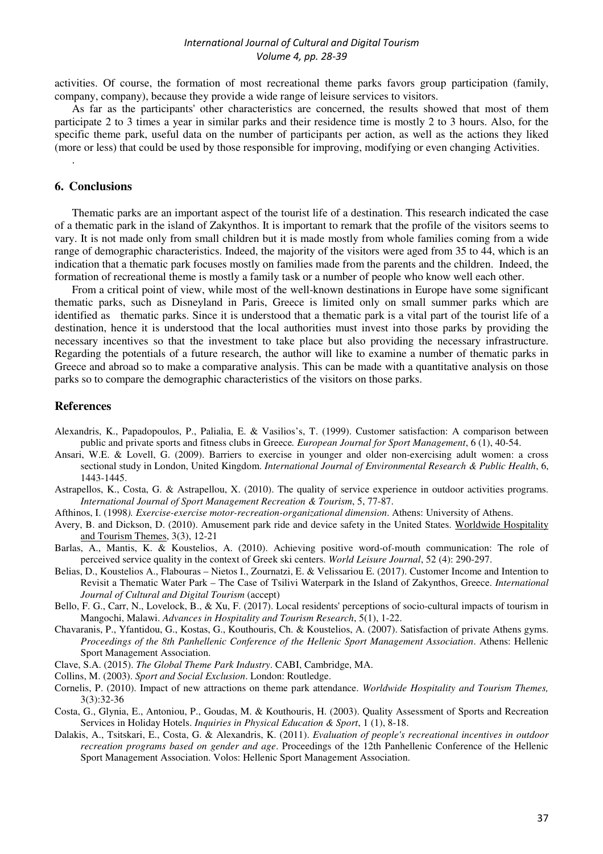activities. Of course, the formation of most recreational theme parks favors group participation (family, company, company), because they provide a wide range of leisure services to visitors.

As far as the participants' other characteristics are concerned, the results showed that most of them participate 2 to 3 times a year in similar parks and their residence time is mostly 2 to 3 hours. Also, for the specific theme park, useful data on the number of participants per action, as well as the actions they liked (more or less) that could be used by those responsible for improving, modifying or even changing Activities.

### **6. Conclusions**

.

Thematic parks are an important aspect of the tourist life of a destination. This research indicated the case of a thematic park in the island of Zakynthos. It is important to remark that the profile of the visitors seems to vary. It is not made only from small children but it is made mostly from whole families coming from a wide range of demographic characteristics. Indeed, the majority of the visitors were aged from 35 to 44, which is an indication that a thematic park focuses mostly on families made from the parents and the children. Indeed, the formation of recreational theme is mostly a family task or a number of people who know well each other.

From a critical point of view, while most of the well-known destinations in Europe have some significant thematic parks, such as Disneyland in Paris, Greece is limited only on small summer parks which are identified as thematic parks. Since it is understood that a thematic park is a vital part of the tourist life of a destination, hence it is understood that the local authorities must invest into those parks by providing the necessary incentives so that the investment to take place but also providing the necessary infrastructure. Regarding the potentials of a future research, the author will like to examine a number of thematic parks in Greece and abroad so to make a comparative analysis. This can be made with a quantitative analysis on those parks so to compare the demographic characteristics of the visitors on those parks.

#### **References**

- Alexandris, K., Papadopoulos, P., Palialia, E. & Vasilios's, T. (1999). Customer satisfaction: A comparison between public and private sports and fitness clubs in Greece*. European Journal for Sport Management*, 6 (1), 40-54.
- Ansari, W.E. & Lovell, G. (2009). Barriers to exercise in younger and older non-exercising adult women: a cross sectional study in London, United Kingdom. *International Journal of Environmental Research & Public Health*, 6, 1443-1445.
- Astrapellos, K., Costa, G. & Astrapellou, X. (2010). The quality of service experience in outdoor activities programs. *International Journal of Sport Management Recreation & Tourism*, 5, 77-87.
- Afthinos, I. (1998*). Exercise-exercise motor-recreation-organizational dimension*. Athens: University of Athens.
- Avery, B. and Dickson, D. (2010). Amusement park ride and device safety in the United States. Worldwide Hospitality and Tourism Themes, 3(3), 12-21
- Barlas, A., Mantis, K. & Koustelios, A. (2010). Achieving positive word-of-mouth communication: The role of perceived service quality in the context of Greek ski centers. *World Leisure Journal*, 52 (4): 290-297.
- Belias, D., Koustelios A., Flabouras Nietos I., Zournatzi, E. & Velissariou E. (2017). Customer Income and Intention to Revisit a Thematic Water Park – The Case of Tsilivi Waterpark in the Island of Zakynthos, Greece. *International Journal of Cultural and Digital Tourism* (accept)
- Bello, F. G., Carr, N., Lovelock, B., & Xu, F. (2017). Local residents' perceptions of socio-cultural impacts of tourism in Mangochi, Malawi. *Advances in Hospitality and Tourism Research*, 5(1), 1-22.
- Chavaranis, P., Yfantidou, G., Kostas, G., Kouthouris, Ch. & Koustelios, A. (2007). Satisfaction of private Athens gyms. *Proceedings of the 8th Panhellenic Conference of the Hellenic Sport Management Association*. Athens: Hellenic Sport Management Association.
- Clave, S.A. (2015). *The Global Theme Park Industry*. CABI, Cambridge, MA.
- Collins, M. (2003). *Sport and Social Exclusion*. London: Routledge.
- Cornelis, P. (2010). Impact of new attractions on theme park attendance. *Worldwide Hospitality and Tourism Themes,* 3(3):32-36
- Costa, G., Glynia, E., Antoniou, P., Goudas, M. & Kouthouris, H. (2003). Quality Assessment of Sports and Recreation Services in Holiday Hotels. *Inquiries in Physical Education & Sport*, 1 (1), 8-18.
- Dalakis, A., Tsitskari, E., Costa, G. & Alexandris, K. (2011). *Evaluation of people's recreational incentives in outdoor recreation programs based on gender and age*. Proceedings of the 12th Panhellenic Conference of the Hellenic Sport Management Association. Volos: Hellenic Sport Management Association.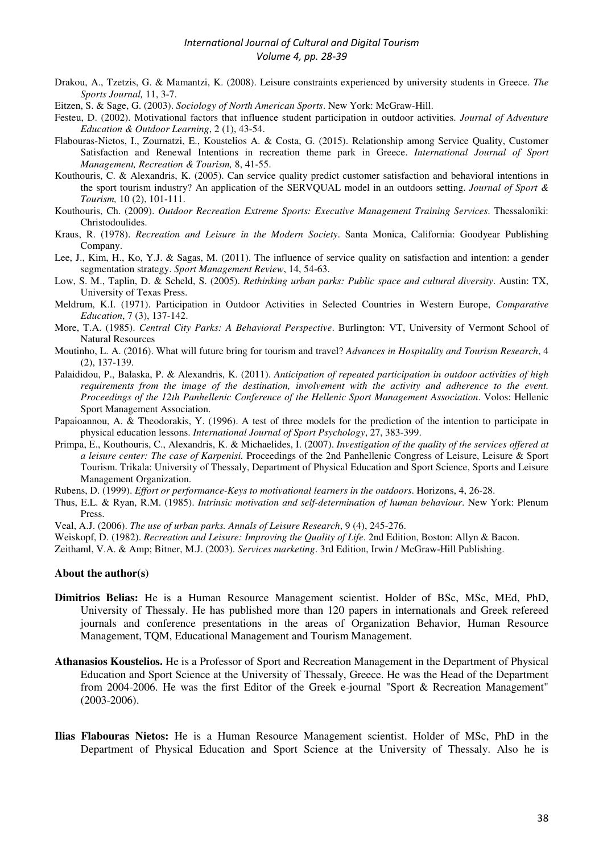- Drakou, A., Tzetzis, G. & Mamantzi, K. (2008). Leisure constraints experienced by university students in Greece. *The Sports Journal,* 11, 3-7.
- Eitzen, S. & Sage, G. (2003). *Sociology of North American Sports*. New York: McGraw-Hill.
- Festeu, D. (2002). Motivational factors that influence student participation in outdoor activities. *Journal of Adventure Education & Outdoor Learning*, 2 (1), 43-54.
- Flabouras-Nietos, I., Zournatzi, E., Koustelios A. & Costa, G. (2015). Relationship among Service Quality, Customer Satisfaction and Renewal Intentions in recreation theme park in Greece. *International Journal of Sport Management, Recreation & Tourism,* 8, 41-55.
- Kouthouris, C. & Alexandris, K. (2005). Can service quality predict customer satisfaction and behavioral intentions in the sport tourism industry? An application of the SERVQUAL model in an outdoors setting. *Journal of Sport & Tourism,* 10 (2), 101-111.
- Kouthouris, Ch. (2009). *Outdoor Recreation Extreme Sports: Executive Management Training Services*. Thessaloniki: Christodoulides.
- Kraus, R. (1978). *Recreation and Leisure in the Modern Society*. Santa Monica, California: Goodyear Publishing Company.
- Lee, J., Kim, H., Ko, Y.J. & Sagas, M. (2011). The influence of service quality on satisfaction and intention: a gender segmentation strategy. *Sport Management Review*, 14, 54-63.
- Low, S. M., Taplin, D. & Scheld, S. (2005). *Rethinking urban parks: Public space and cultural diversity*. Austin: TX, University of Texas Press.
- Meldrum, K.I. (1971). Participation in Outdoor Activities in Selected Countries in Western Europe, *Comparative Education*, 7 (3), 137-142.
- More, T.A. (1985). *Central City Parks: A Behavioral Perspective*. Burlington: VT, University of Vermont School of Natural Resources
- Moutinho, L. A. (2016). What will future bring for tourism and travel? *Advances in Hospitality and Tourism Research*, 4 (2), 137-139.
- Palaididou, P., Balaska, P. & Alexandris, K. (2011). *Anticipation of repeated participation in outdoor activities of high requirements from the image of the destination, involvement with the activity and adherence to the event. Proceedings of the 12th Panhellenic Conference of the Hellenic Sport Management Association*. Volos: Hellenic Sport Management Association.
- Papaioannou, A. & Theodorakis, Y. (1996). A test of three models for the prediction of the intention to participate in physical education lessons. *International Journal of Sport Psychology*, 27, 383-399.
- Primpa, E., Kouthouris, C., Alexandris, K. & Michaelides, I. (2007). *Investigation of the quality of the services offered at a leisure center: The case of Karpenisi.* Proceedings of the 2nd Panhellenic Congress of Leisure, Leisure & Sport Tourism. Trikala: University of Thessaly, Department of Physical Education and Sport Science, Sports and Leisure Management Organization.
- Rubens, D. (1999). *Effort or performance-Keys to motivational learners in the outdoors*. Horizons, 4, 26-28.
- Thus, E.L. & Ryan, R.M. (1985). *Intrinsic motivation and self-determination of human behaviour*. New York: Plenum Press.
- Veal, A.J. (2006). *The use of urban parks. Annals of Leisure Research*, 9 (4), 245-276.
- Weiskopf, D. (1982). *Recreation and Leisure: Improving the Quality of Life*. 2nd Edition, Boston: Allyn & Bacon.
- Zeithaml, V.A. & Amp; Bitner, M.J. (2003). *Services marketing*. 3rd Edition, Irwin / McGraw-Hill Publishing.

#### **About the author(s)**

- **Dimitrios Belias:** He is a Human Resource Management scientist. Holder of BSc, MSc, MEd, PhD, University of Thessaly. He has published more than 120 papers in internationals and Greek refereed journals and conference presentations in the areas of Organization Behavior, Human Resource Management, TQM, Educational Management and Tourism Management.
- **Athanasios Koustelios.** He is a Professor of Sport and Recreation Management in the Department of Physical Education and Sport Science at the University of Thessaly, Greece. He was the Head of the Department from 2004-2006. He was the first Editor of the Greek e-journal "Sport & Recreation Management" (2003-2006).
- **Ilias Flabouras Nietos:** He is a Human Resource Management scientist. Holder of MSc, PhD in the Department of Physical Education and Sport Science at the University of Thessaly. Also he is